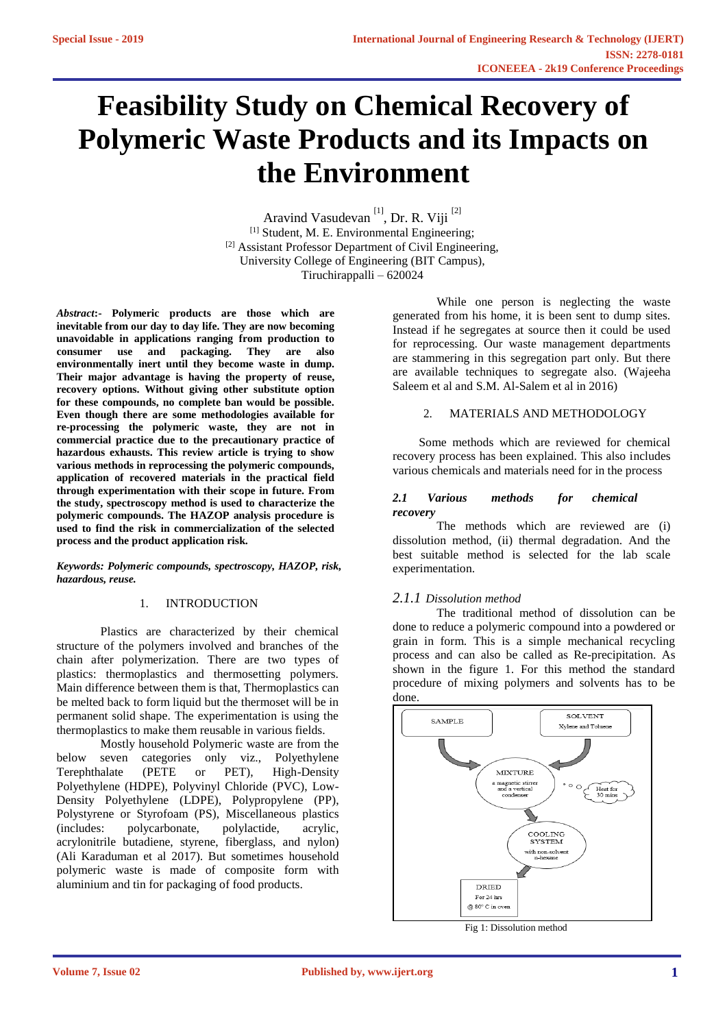# **Feasibility Study on Chemical Recovery of Polymeric Waste Products and its Impacts on the Environment**

Aravind Vasudevan<sup>[1]</sup>, Dr. R. Viji<sup>[2]</sup> [1] Student, M. E. Environmental Engineering; [2] Assistant Professor Department of Civil Engineering, University College of Engineering (BIT Campus), Tiruchirappalli – 620024

*Abstract***:- Polymeric products are those which are inevitable from our day to day life. They are now becoming unavoidable in applications ranging from production to consumer use and packaging. They are also environmentally inert until they become waste in dump. Their major advantage is having the property of reuse, recovery options. Without giving other substitute option for these compounds, no complete ban would be possible. Even though there are some methodologies available for re-processing the polymeric waste, they are not in commercial practice due to the precautionary practice of hazardous exhausts. This review article is trying to show various methods in reprocessing the polymeric compounds, application of recovered materials in the practical field through experimentation with their scope in future. From the study, spectroscopy method is used to characterize the polymeric compounds. The HAZOP analysis procedure is used to find the risk in commercialization of the selected process and the product application risk.**

*Keywords: Polymeric compounds, spectroscopy, HAZOP, risk, hazardous, reuse.*

## 1. INTRODUCTION

Plastics are characterized by their chemical structure of the polymers involved and branches of the chain after polymerization. There are two types of plastics: thermoplastics and thermosetting polymers. Main difference between them is that, Thermoplastics can be melted back to form liquid but the thermoset will be in permanent solid shape. The experimentation is using the thermoplastics to make them reusable in various fields.

Mostly household Polymeric waste are from the below seven categories only viz., Polyethylene Terephthalate (PETE or PET), High-Density Polyethylene (HDPE), Polyvinyl Chloride (PVC), Low-Density Polyethylene (LDPE), Polypropylene (PP), Polystyrene or Styrofoam (PS), Miscellaneous plastics (includes: polycarbonate, polylactide, acrylic, acrylonitrile butadiene, styrene, fiberglass, and nylon) (Ali Karaduman et al 2017). But sometimes household polymeric waste is made of composite form with aluminium and tin for packaging of food products.

While one person is neglecting the waste generated from his home, it is been sent to dump sites. Instead if he segregates at source then it could be used for reprocessing. Our waste management departments are stammering in this segregation part only. But there are available techniques to segregate also. (Wajeeha Saleem et al and S.M. Al-Salem et al in 2016)

## 2. MATERIALS AND METHODOLOGY

Some methods which are reviewed for chemical recovery process has been explained. This also includes various chemicals and materials need for in the process

## *2.1 Various methods for chemical recovery*

The methods which are reviewed are (i) dissolution method, (ii) thermal degradation. And the best suitable method is selected for the lab scale experimentation.

# *2.1.1 Dissolution method*

The traditional method of dissolution can be done to reduce a polymeric compound into a powdered or grain in form. This is a simple mechanical recycling process and can also be called as Re-precipitation. As shown in the figure 1. For this method the standard procedure of mixing polymers and solvents has to be done.



Fig 1: Dissolution method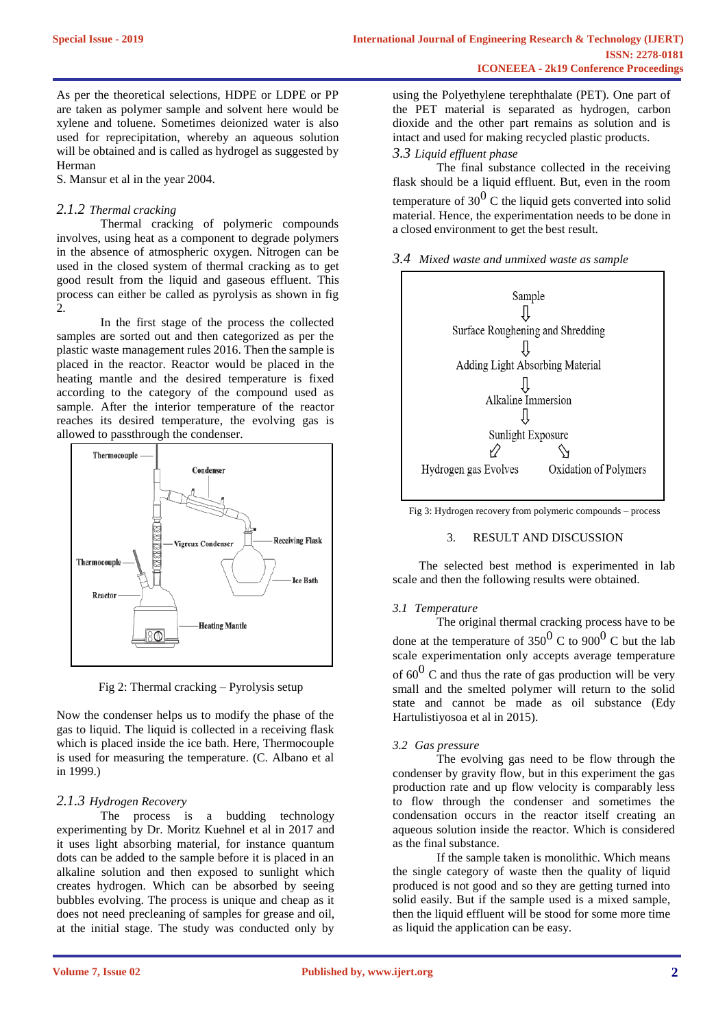As per the theoretical selections, HDPE or LDPE or PP are taken as polymer sample and solvent here would be xylene and toluene. Sometimes deionized water is also used for reprecipitation, whereby an aqueous solution will be obtained and is called as hydrogel as suggested by Herman

S. Mansur et al in the year 2004.

# *2.1.2 Thermal cracking*

Thermal cracking of polymeric compounds involves, using heat as a component to degrade polymers in the absence of atmospheric oxygen. Nitrogen can be used in the closed system of thermal cracking as to get good result from the liquid and gaseous effluent. This process can either be called as pyrolysis as shown in fig 2.

In the first stage of the process the collected samples are sorted out and then categorized as per the plastic waste management rules 2016. Then the sample is placed in the reactor. Reactor would be placed in the heating mantle and the desired temperature is fixed according to the category of the compound used as sample. After the interior temperature of the reactor reaches its desired temperature, the evolving gas is allowed to passthrough the condenser.



Fig 2: Thermal cracking – Pyrolysis setup

Now the condenser helps us to modify the phase of the gas to liquid. The liquid is collected in a receiving flask which is placed inside the ice bath. Here, Thermocouple is used for measuring the temperature. (C. Albano et al in 1999.)

# *2.1.3 Hydrogen Recovery*

The process is a budding technology experimenting by Dr. Moritz Kuehnel et al in 2017 and it uses light absorbing material, for instance quantum dots can be added to the sample before it is placed in an alkaline solution and then exposed to sunlight which creates hydrogen. Which can be absorbed by seeing bubbles evolving. The process is unique and cheap as it does not need precleaning of samples for grease and oil, at the initial stage. The study was conducted only by

using the Polyethylene terephthalate (PET). One part of the PET material is separated as hydrogen, carbon dioxide and the other part remains as solution and is intact and used for making recycled plastic products.

# *3.3 Liquid effluent phase*

The final substance collected in the receiving flask should be a liquid effluent. But, even in the room temperature of  $30^{0}$  C the liquid gets converted into solid material. Hence, the experimentation needs to be done in a closed environment to get the best result.





Fig 3: Hydrogen recovery from polymeric compounds – process

# 3. RESULT AND DISCUSSION

The selected best method is experimented in lab scale and then the following results were obtained.

# *3.1 Temperature*

The original thermal cracking process have to be done at the temperature of 350<sup>0</sup> C to 900<sup>0</sup> C but the lab scale experimentation only accepts average temperature of  $60^{\circ}$  C and thus the rate of gas production will be very small and the smelted polymer will return to the solid state and cannot be made as oil substance (Edy Hartulistiyosoa et al in 2015).

# *3.2 Gas pressure*

The evolving gas need to be flow through the condenser by gravity flow, but in this experiment the gas production rate and up flow velocity is comparably less to flow through the condenser and sometimes the condensation occurs in the reactor itself creating an aqueous solution inside the reactor. Which is considered as the final substance.

If the sample taken is monolithic. Which means the single category of waste then the quality of liquid produced is not good and so they are getting turned into solid easily. But if the sample used is a mixed sample, then the liquid effluent will be stood for some more time as liquid the application can be easy.